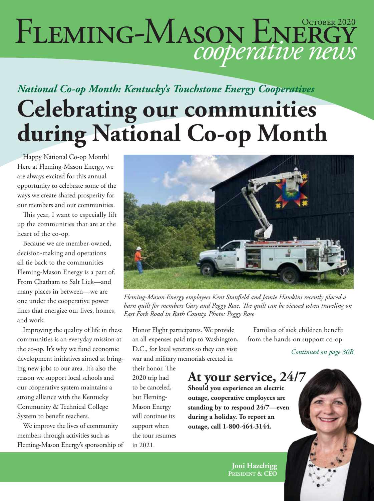# FLEMING-MASON ENERGY

### *National Co-op Month: Kentucky's Touchstone Energy Cooperatives* **Celebrating our communities during National Co-op Month**

Happy National Co-op Month! Here at Fleming-Mason Energy, we are always excited for this annual opportunity to celebrate some of the ways we create shared prosperity for our members and our communities.

This year, I want to especially lift up the communities that are at the heart of the co-op.

Because we are member-owned, decision-making and operations all tie back to the communities Fleming-Mason Energy is a part of. From Chatham to Salt Lick—and many places in between—we are one under the cooperative power lines that energize our lives, homes, and work.

Improving the quality of life in these communities is an everyday mission at the co-op. It's why we fund economic development initiatives aimed at bringing new jobs to our area. It's also the reason we support local schools and our cooperative system maintains a strong alliance with the Kentucky Community & Technical College System to benefit teachers.

We improve the lives of community members through activities such as Fleming-Mason Energy's sponsorship of



*Fleming-Mason Energy employees Kent Stanfield and Jamie Hawkins recently placed a barn quilt for members Gary and Peggy Rose. The quilt can be viewed when traveling on East Fork Road in Bath County. Photo: Peggy Rose*

Honor Flight participants. We provide an all-expenses-paid trip to Washington, D.C., for local veterans so they can visit war and military memorials erected in

their honor. The 2020 trip had to be canceled, but Fleming-Mason Energy will continue its support when the tour resumes in 2021.

Families of sick children benefit from the hands-on support co-op

*Continued on page 30B*

#### **At your service, 24/7**

**Should you experience an electric outage, cooperative employees are standing by to respond 24/7—even during a holiday. To report an outage, call 1-800-464-3144.**

> **Joni Hazelrigg President & CEO**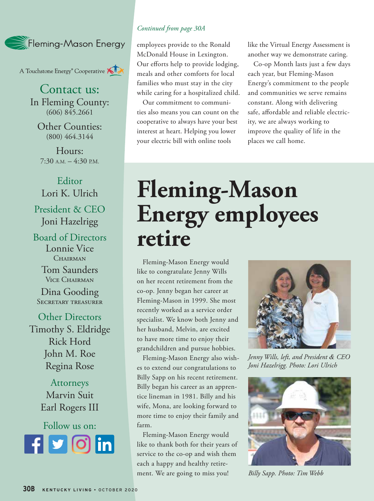

A Touchstone Energy<sup>®</sup> Cooperative A

Contact us: In Fleming County: (606) 845.2661

Other Counties: (800) 464.3144

Hours:  $7:30$  A.M.  $-4:30$  P.M.

#### Editor Lori K. Ulrich President & CEO Joni Hazelrigg

Board of Directors Lonnie Vice CHAIRMAN

> Tom Saunders Vice Chairman

Dina Gooding Secretary treasurer

Other Directors Timothy S. Eldridge Rick Hord John M. Roe Regina Rose

> Attorneys Marvin Suit Earl Rogers III



#### *Continued from page 30A*

employees provide to the Ronald McDonald House in Lexington. Our efforts help to provide lodging, meals and other comforts for local families who must stay in the city while caring for a hospitalized child.

Our commitment to communities also means you can count on the cooperative to always have your best interest at heart. Helping you lower your electric bill with online tools

like the Virtual Energy Assessment is another way we demonstrate caring.

Co-op Month lasts just a few days each year, but Fleming-Mason Energy's commitment to the people and communities we serve remains constant. Along with delivering safe, affordable and reliable electricity, we are always working to improve the quality of life in the places we call home.

### **Fleming-Mason Energy employees retire**

Fleming-Mason Energy would like to congratulate Jenny Wills on her recent retirement from the co-op. Jenny began her career at Fleming-Mason in 1999. She most recently worked as a service order specialist. We know both Jenny and her husband, Melvin, are excited to have more time to enjoy their grandchildren and pursue hobbies.

Fleming-Mason Energy also wishes to extend our congratulations to Billy Sapp on his recent retirement. Billy began his career as an apprentice lineman in 1981. Billy and his wife, Mona, are looking forward to more time to enjoy their family and farm.

Fleming-Mason Energy would like to thank both for their years of service to the co-op and wish them each a happy and healthy retirement. We are going to miss you!



*Jenny Wills, left, and President & CEO Joni Hazelrigg. Photo: Lori Ulrich*



*Billy Sapp. Photo: Tim Webb*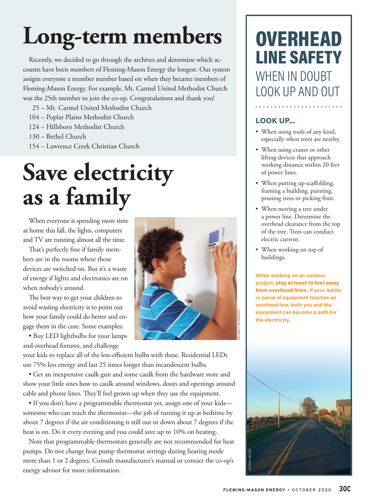# **Long-term members**

Recently, we decided to go through the archives and determine which accounts have been members of Fleming-Mason Energy the longest. Our system assigns everyone a member number based on when they became members of Fleming-Mason Energy. For example, Mt. Carmel United Methodist Church was the 25th member to join the co-op. Congratulations and thank you!

- 25 Mt. Carmel United Methodist Church
- 104 Poplar Plains Methodist Church
- 124 Hillsboro Methodist Church
- 130 Bethel Church
- 154 Lawrence Creek Christian Church

## **Save electricity as a family**

When everyone is spending more time at home this fall, the lights, computers and TV are running almost all the time.

That's perfectly fine if family members are in the rooms where those devices are switched on. But it's a waste of energy if lights and electronics are on when nobody's around.

The best way to get your children to avoid wasting electricity is to point out how your family could do better and engage them in the cure. Some examples:

• Buy LED lightbulbs for your lamps and overhead fixtures, and challenge



your kids to replace all of the less-efficient bulbs with these. Residential LEDs use 75% less energy and last 25 times longer than incandescent bulbs.

• Get an inexpensive caulk gun and some caulk from the hardware store and show your little ones how to caulk around windows, doors and openings around cable and phone lines. They'll feel grown up when they use the equipment.

• If you don't have a programmable thermostat yet, assign one of your kids someone who can reach the thermostat—the job of turning it up at bedtime by about 7 degrees if the air conditioning is still out or down about 7 degrees if the heat is on. Do it every evening and you could save up to 10% on heating.

Note that programmable thermostats generally are not recommended for heat pumps. Do not change heat pump thermostat settings during heating mode more than 1 or 2 degrees. Consult manufacturer's manual or contact the co-op's energy advisor for more information.

### **OVERHEAD** LINE SAFETY WHEN IN DOUBT LOOK UP AND OUT

#### **LOOK UP...**

• When using tools of any kind, especially when trees are nearby.

. . . . . . . . . . . . . . . . . . . .

- When using cranes or other lifting devices that approach working distance within 20 feet of power lines.
- When putting up scaffolding, framing a building, painting, pruning trees or picking fruit.
- When moving a tree under a power line. Determine the overhead clearance from the top of the tree. Trees can conduct electric current.
- When working on top of buildings.

**When working on an outdoor project,** stay at least 10 feet away from overhead lines. **If your ladder or piece of equipment touches an overhead line, both you and the equipment can become a path for the electricity.**